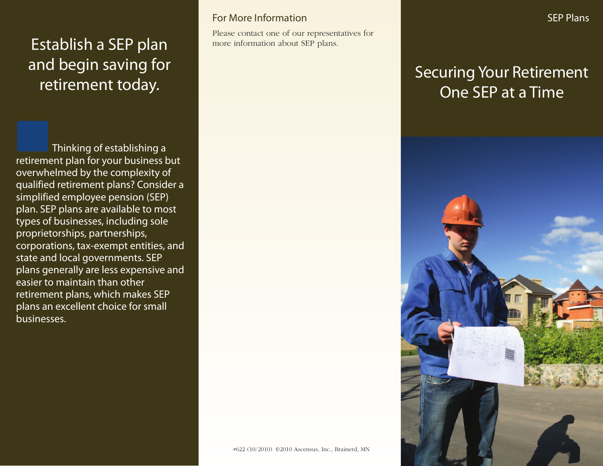# Establish a SEP plan and begin saving for retirement today.

Thinking of establishing a retirement plan for your business but overwhelmed by the complexity of qualified retirement plans? Consider a simplified employee pension (SEP) plan. SEP plans are available to most types of businesses, including sole proprietorships, partnerships, corporations, tax-exempt entities, and state and local governments. SEP plans generally are less expensive and easier to maintain than other retirement plans, which makes SEP plans an excellent choice for small businesses.

### For More Information

Please contact one of our representatives for more information about SEP plans.

# Securing Your Retirement One SEP at a Time